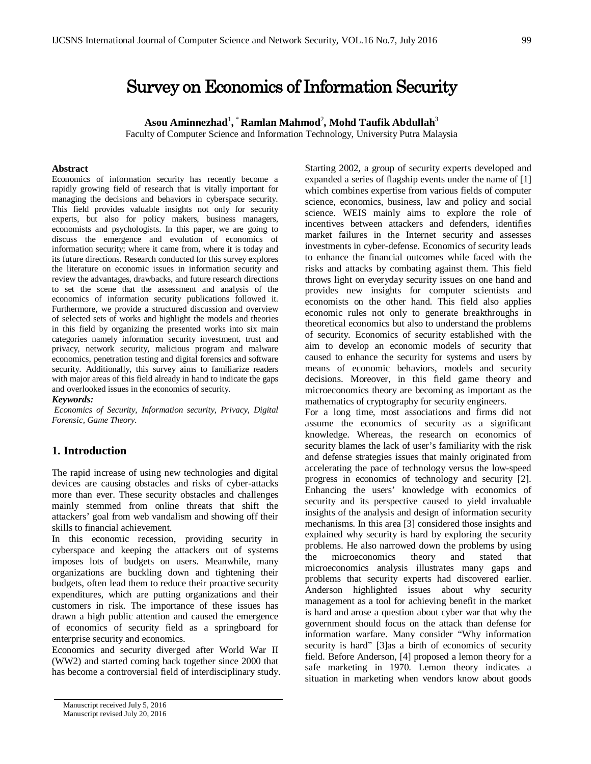# Survey on Economics of Information Security

**Asou Aminnezhad**<sup>1</sup> **,** \* **Ramlan Mahmod**<sup>2</sup> **, Mohd Taufik Abdullah**<sup>3</sup>

Faculty of Computer Science and Information Technology, University Putra Malaysia

#### **Abstract**

Economics of information security has recently become a rapidly growing field of research that is vitally important for managing the decisions and behaviors in cyberspace security. This field provides valuable insights not only for security experts, but also for policy makers, business managers, economists and psychologists. In this paper, we are going to discuss the emergence and evolution of economics of information security; where it came from, where it is today and its future directions. Research conducted for this survey explores the literature on economic issues in information security and review the advantages, drawbacks, and future research directions to set the scene that the assessment and analysis of the economics of information security publications followed it. Furthermore, we provide a structured discussion and overview of selected sets of works and highlight the models and theories in this field by organizing the presented works into six main categories namely information security investment, trust and privacy, network security, malicious program and malware economics, penetration testing and digital forensics and software security. Additionally, this survey aims to familiarize readers with major areas of this field already in hand to indicate the gaps and overlooked issues in the economics of security.

#### *Keywords:*

*Economics of Security, Information security, Privacy, Digital Forensic, Game Theory.*

# **1. Introduction**

The rapid increase of using new technologies and digital devices are causing obstacles and risks of cyber-attacks more than ever. These security obstacles and challenges mainly stemmed from online threats that shift the attackers' goal from web vandalism and showing off their skills to financial achievement.

In this economic recession, providing security in cyberspace and keeping the attackers out of systems imposes lots of budgets on users. Meanwhile, many organizations are buckling down and tightening their budgets, often lead them to reduce their proactive security expenditures, which are putting organizations and their customers in risk. The importance of these issues has drawn a high public attention and caused the emergence of economics of security field as a springboard for enterprise security and economics.

Economics and security diverged after World War II (WW2) and started coming back together since 2000 that has become a controversial field of interdisciplinary study. Starting 2002, a group of security experts developed and expanded a series of flagship events under the name of [1] which combines expertise from various fields of computer science, economics, business, law and policy and social science. WEIS mainly aims to explore the role of incentives between attackers and defenders, identifies market failures in the Internet security and assesses investments in cyber-defense. Economics of security leads to enhance the financial outcomes while faced with the risks and attacks by combating against them. This field throws light on everyday security issues on one hand and provides new insights for computer scientists and economists on the other hand. This field also applies economic rules not only to generate breakthroughs in theoretical economics but also to understand the problems of security. Economics of security established with the aim to develop an economic models of security that caused to enhance the security for systems and users by means of economic behaviors, models and security decisions. Moreover, in this field game theory and microeconomics theory are becoming as important as the mathematics of cryptography for security engineers.

For a long time, most associations and firms did not assume the economics of security as a significant knowledge. Whereas, the research on economics of security blames the lack of user's familiarity with the risk and defense strategies issues that mainly originated from accelerating the pace of technology versus the low-speed progress in economics of technology and security [2]. Enhancing the users' knowledge with economics of security and its perspective caused to yield invaluable insights of the analysis and design of information security mechanisms. In this area [3] considered those insights and explained why security is hard by exploring the security problems. He also narrowed down the problems by using the microeconomics theory and stated that microeconomics analysis illustrates many gaps and problems that security experts had discovered earlier. Anderson highlighted issues about why security management as a tool for achieving benefit in the market is hard and arose a question about cyber war that why the government should focus on the attack than defense for information warfare. Many consider "Why information security is hard" [3]as a birth of economics of security field. Before Anderson, [4] proposed a lemon theory for a safe marketing in 1970. Lemon theory indicates a situation in marketing when vendors know about goods

Manuscript received July 5, 2016 Manuscript revised July 20, 2016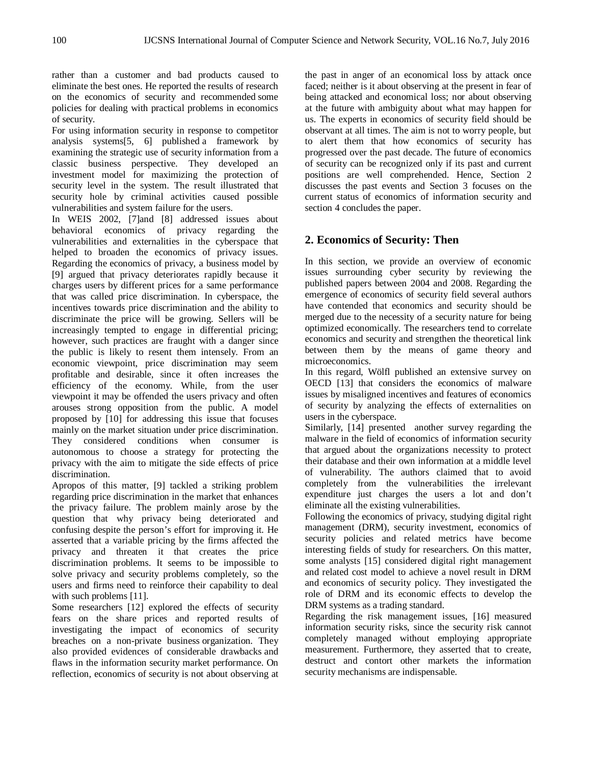rather than a customer and bad products caused to eliminate the best ones. He reported the results of research on the economics of security and recommended some policies for dealing with practical problems in economics of security.

For using information security in response to competitor analysis systems[5, 6] published a framework by examining the strategic use of security information from a classic business perspective. They developed an investment model for maximizing the protection of security level in the system. The result illustrated that security hole by criminal activities caused possible vulnerabilities and system failure for the users.

In WEIS 2002, [7]and [8] addressed issues about behavioral economics of privacy regarding the vulnerabilities and externalities in the cyberspace that helped to broaden the economics of privacy issues. Regarding the economics of privacy, a business model by [9] argued that privacy deteriorates rapidly because it charges users by different prices for a same performance that was called price discrimination. In cyberspace, the incentives towards price discrimination and the ability to discriminate the price will be growing. Sellers will be increasingly tempted to engage in differential pricing; however, such practices are fraught with a danger since the public is likely to resent them intensely. From an economic viewpoint, price discrimination may seem profitable and desirable, since it often increases the efficiency of the economy. While, from the user viewpoint it may be offended the users privacy and often arouses strong opposition from the public. A model proposed by [10] for addressing this issue that focuses mainly on the market situation under price discrimination. They considered conditions when consumer is autonomous to choose a strategy for protecting the privacy with the aim to mitigate the side effects of price discrimination.

Apropos of this matter, [9] tackled a striking problem regarding price discrimination in the market that enhances the privacy failure. The problem mainly arose by the question that why privacy being deteriorated and confusing despite the person's effort for improving it. He asserted that a variable pricing by the firms affected the privacy and threaten it that creates the price discrimination problems. It seems to be impossible to solve privacy and security problems completely, so the users and firms need to reinforce their capability to deal with such problems [11].

Some researchers [12] explored the effects of security fears on the share prices and reported results of investigating the impact of economics of security breaches on a non-private business organization. They also provided evidences of considerable drawbacks and flaws in the information security market performance. On reflection, economics of security is not about observing at

the past in anger of an economical loss by attack once faced; neither is it about observing at the present in fear of being attacked and economical loss; nor about observing at the future with ambiguity about what may happen for us. The experts in economics of security field should be observant at all times. The aim is not to worry people, but to alert them that how economics of security has progressed over the past decade. The future of economics of security can be recognized only if its past and current positions are well comprehended. Hence, Section 2 discusses the past events and Section 3 focuses on the current status of economics of information security and section 4 concludes the paper.

# **2. Economics of Security: Then**

In this section, we provide an overview of economic issues surrounding cyber security by reviewing the published papers between 2004 and 2008. Regarding the emergence of economics of security field several authors have contended that economics and security should be merged due to the necessity of a security nature for being optimized economically. The researchers tend to correlate economics and security and strengthen the theoretical link between them by the means of game theory and microeconomics.

In this regard, Wölfl published an extensive survey on OECD [13] that considers the economics of malware issues by misaligned incentives and features of economics of security by analyzing the effects of externalities on users in the cyberspace.

Similarly, [14] presented another survey regarding the malware in the field of economics of information security that argued about the organizations necessity to protect their database and their own information at a middle level of vulnerability. The authors claimed that to avoid completely from the vulnerabilities the irrelevant expenditure just charges the users a lot and don't eliminate all the existing vulnerabilities.

Following the economics of privacy, studying digital right management (DRM), security investment, economics of security policies and related metrics have become interesting fields of study for researchers. On this matter, some analysts [15] considered digital right management and related cost model to achieve a novel result in DRM and economics of security policy. They investigated the role of DRM and its economic effects to develop the DRM systems as a trading standard.

Regarding the risk management issues, [16] measured information security risks, since the security risk cannot completely managed without employing appropriate measurement. Furthermore, they asserted that to create, destruct and contort other markets the information security mechanisms are indispensable.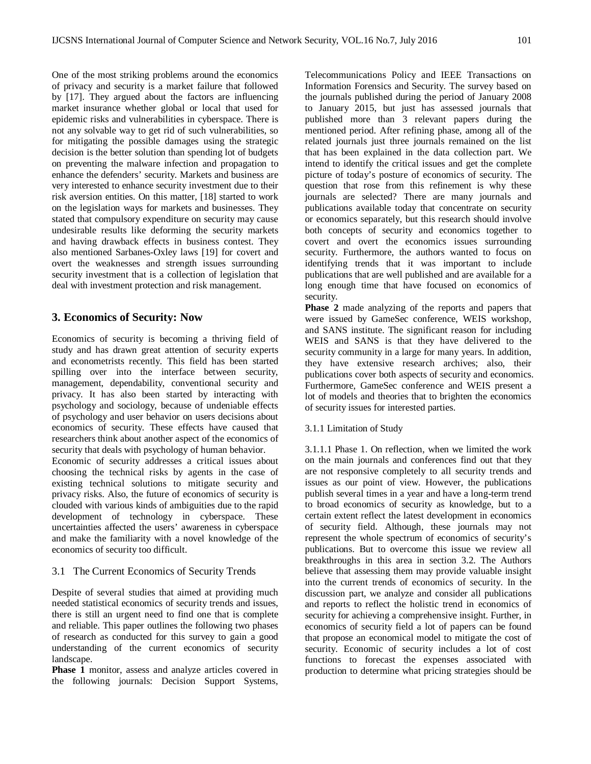One of the most striking problems around the economics of privacy and security is a market failure that followed by [17]. They argued about the factors are influencing market insurance whether global or local that used for epidemic risks and vulnerabilities in cyberspace. There is not any solvable way to get rid of such vulnerabilities, so for mitigating the possible damages using the strategic decision is the better solution than spending lot of budgets on preventing the malware infection and propagation to enhance the defenders' security. Markets and business are very interested to enhance security investment due to their risk aversion entities. On this matter, [18] started to work on the legislation ways for markets and businesses. They stated that compulsory expenditure on security may cause undesirable results like deforming the security markets and having drawback effects in business contest. They also mentioned Sarbanes-Oxley laws [19] for covert and overt the weaknesses and strength issues surrounding security investment that is a collection of legislation that deal with investment protection and risk management.

# **3. Economics of Security: Now**

Economics of security is becoming a thriving field of study and has drawn great attention of security experts and econometrists recently. This field has been started spilling over into the interface between security, management, dependability, conventional security and privacy. It has also been started by interacting with psychology and sociology, because of undeniable effects of psychology and user behavior on users decisions about economics of security. These effects have caused that researchers think about another aspect of the economics of security that deals with psychology of human behavior.

Economic of security addresses a critical issues about choosing the technical risks by agents in the case of existing technical solutions to mitigate security and privacy risks. Also, the future of economics of security is clouded with various kinds of ambiguities due to the rapid development of technology in cyberspace. These uncertainties affected the users' awareness in cyberspace and make the familiarity with a novel knowledge of the economics of security too difficult.

# 3.1 The Current Economics of Security Trends

Despite of several studies that aimed at providing much needed statistical economics of security trends and issues, there is still an urgent need to find one that is complete and reliable. This paper outlines the following two phases of research as conducted for this survey to gain a good understanding of the current economics of security landscape.

**Phase 1** monitor, assess and analyze articles covered in the following journals: Decision Support Systems, Telecommunications Policy and IEEE Transactions on Information Forensics and Security. The survey based on the journals published during the period of January 2008 to January 2015, but just has assessed journals that published more than 3 relevant papers during the mentioned period. After refining phase, among all of the related journals just three journals remained on the list that has been explained in the data collection part. We intend to identify the critical issues and get the complete picture of today's posture of economics of security. The question that rose from this refinement is why these journals are selected? There are many journals and publications available today that concentrate on security or economics separately, but this research should involve both concepts of security and economics together to covert and overt the economics issues surrounding security. Furthermore, the authors wanted to focus on identifying trends that it was important to include publications that are well published and are available for a long enough time that have focused on economics of security.

**Phase 2** made analyzing of the reports and papers that were issued by GameSec conference, WEIS workshop, and SANS institute. The significant reason for including WEIS and SANS is that they have delivered to the security community in a large for many years. In addition, they have extensive research archives; also, their publications cover both aspects of security and economics. Furthermore, GameSec conference and WEIS present a lot of models and theories that to brighten the economics of security issues for interested parties.

#### 3.1.1 Limitation of Study

3.1.1.1 Phase 1. On reflection, when we limited the work on the main journals and conferences find out that they are not responsive completely to all security trends and issues as our point of view. However, the publications publish several times in a year and have a long-term trend to broad economics of security as knowledge, but to a certain extent reflect the latest development in economics of security field. Although, these journals may not represent the whole spectrum of economics of security's publications. But to overcome this issue we review all breakthroughs in this area in section 3.2. The Authors believe that assessing them may provide valuable insight into the current trends of economics of security. In the discussion part, we analyze and consider all publications and reports to reflect the holistic trend in economics of security for achieving a comprehensive insight. Further, in economics of security field a lot of papers can be found that propose an economical model to mitigate the cost of security. Economic of security includes a lot of cost functions to forecast the expenses associated with production to determine what pricing strategies should be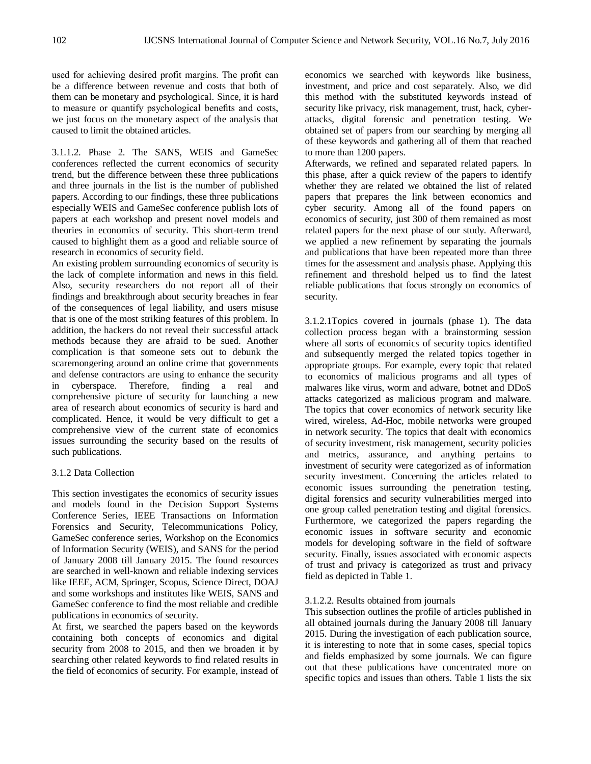used for achieving desired profit margins. The profit can be a difference between revenue and costs that both of them can be monetary and psychological. Since, it is hard to measure or quantify psychological benefits and costs, we just focus on the monetary aspect of the analysis that caused to limit the obtained articles.

3.1.1.2. Phase 2. The SANS, WEIS and GameSec conferences reflected the current economics of security trend, but the difference between these three publications and three journals in the list is the number of published papers. According to our findings, these three publications especially WEIS and GameSec conference publish lots of papers at each workshop and present novel models and theories in economics of security. This short-term trend caused to highlight them as a good and reliable source of research in economics of security field.

An existing problem surrounding economics of security is the lack of complete information and news in this field. Also, security researchers do not report all of their findings and breakthrough about security breaches in fear of the consequences of legal liability, and users misuse that is one of the most striking features of this problem. In addition, the hackers do not reveal their successful attack methods because they are afraid to be sued. Another complication is that someone sets out to debunk the scaremongering around an online crime that governments and defense contractors are using to enhance the security in cyberspace. Therefore, finding a real and comprehensive picture of security for launching a new area of research about economics of security is hard and complicated. Hence, it would be very difficult to get a comprehensive view of the current state of economics issues surrounding the security based on the results of such publications.

# 3.1.2 Data Collection

This section investigates the economics of security issues and models found in the Decision Support Systems Conference Series, IEEE Transactions on Information Forensics and Security, Telecommunications Policy, GameSec conference series, Workshop on the Economics of Information Security (WEIS), and SANS for the period of January 2008 till January 2015. The found resources are searched in well-known and reliable indexing services like IEEE, ACM, Springer, Scopus, Science Direct, DOAJ and some workshops and institutes like WEIS, SANS and GameSec conference to find the most reliable and credible publications in economics of security.

At first, we searched the papers based on the keywords containing both concepts of economics and digital security from 2008 to 2015, and then we broaden it by searching other related keywords to find related results in the field of economics of security. For example, instead of

economics we searched with keywords like business, investment, and price and cost separately. Also, we did this method with the substituted keywords instead of security like privacy, risk management, trust, hack, cyberattacks, digital forensic and penetration testing. We obtained set of papers from our searching by merging all of these keywords and gathering all of them that reached to more than 1200 papers.

Afterwards, we refined and separated related papers. In this phase, after a quick review of the papers to identify whether they are related we obtained the list of related papers that prepares the link between economics and cyber security. Among all of the found papers on economics of security, just 300 of them remained as most related papers for the next phase of our study. Afterward, we applied a new refinement by separating the journals and publications that have been repeated more than three times for the assessment and analysis phase. Applying this refinement and threshold helped us to find the latest reliable publications that focus strongly on economics of security.

3.1.2.1Topics covered in journals (phase 1). The data collection process began with a brainstorming session where all sorts of economics of security topics identified and subsequently merged the related topics together in appropriate groups. For example, every topic that related to economics of malicious programs and all types of malwares like virus, worm and adware, botnet and DDoS attacks categorized as malicious program and malware. The topics that cover economics of network security like wired, wireless, Ad-Hoc, mobile networks were grouped in network security. The topics that dealt with economics of security investment, risk management, security policies and metrics, assurance, and anything pertains to investment of security were categorized as of information security investment. Concerning the articles related to economic issues surrounding the penetration testing, digital forensics and security vulnerabilities merged into one group called penetration testing and digital forensics. Furthermore, we categorized the papers regarding the economic issues in software security and economic models for developing software in the field of software security. Finally, issues associated with economic aspects of trust and privacy is categorized as trust and privacy field as depicted in Table 1.

## 3.1.2.2. Results obtained from journals

This subsection outlines the profile of articles published in all obtained journals during the January 2008 till January 2015. During the investigation of each publication source, it is interesting to note that in some cases, special topics and fields emphasized by some journals. We can figure out that these publications have concentrated more on specific topics and issues than others. Table 1 lists the six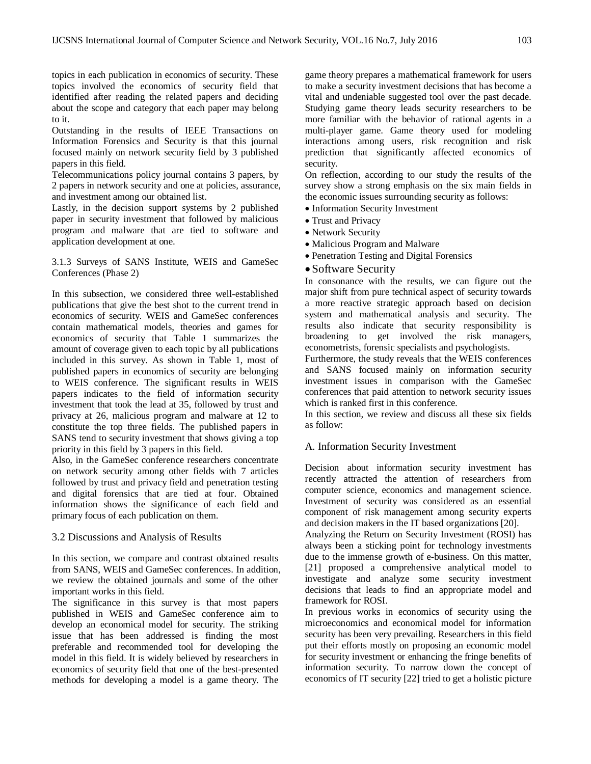topics in each publication in economics of security. These topics involved the economics of security field that identified after reading the related papers and deciding about the scope and category that each paper may belong to it.

Outstanding in the results of IEEE Transactions on Information Forensics and Security is that this journal focused mainly on network security field by 3 published papers in this field.

Telecommunications policy journal contains 3 papers, by 2 papers in network security and one at policies, assurance, and investment among our obtained list.

Lastly, in the decision support systems by 2 published paper in security investment that followed by malicious program and malware that are tied to software and application development at one.

3.1.3 Surveys of SANS Institute, WEIS and GameSec Conferences (Phase 2)

In this subsection, we considered three well-established publications that give the best shot to the current trend in economics of security. WEIS and GameSec conferences contain mathematical models, theories and games for economics of security that Table 1 summarizes the amount of coverage given to each topic by all publications included in this survey. As shown in Table 1, most of published papers in economics of security are belonging to WEIS conference. The significant results in WEIS papers indicates to the field of information security investment that took the lead at 35, followed by trust and privacy at 26, malicious program and malware at 12 to constitute the top three fields. The published papers in SANS tend to security investment that shows giving a top priority in this field by 3 papers in this field.

Also, in the GameSec conference researchers concentrate on network security among other fields with 7 articles followed by trust and privacy field and penetration testing and digital forensics that are tied at four. Obtained information shows the significance of each field and primary focus of each publication on them.

#### 3.2 Discussions and Analysis of Results

In this section, we compare and contrast obtained results from SANS, WEIS and GameSec conferences. In addition, we review the obtained journals and some of the other important works in this field.

The significance in this survey is that most papers published in WEIS and GameSec conference aim to develop an economical model for security. The striking issue that has been addressed is finding the most preferable and recommended tool for developing the model in this field. It is widely believed by researchers in economics of security field that one of the best-presented methods for developing a model is a game theory. The

game theory prepares a mathematical framework for users to make a security investment decisions that has become a vital and undeniable suggested tool over the past decade. Studying game theory leads security researchers to be more familiar with the behavior of rational agents in a multi-player game. Game theory used for modeling interactions among users, risk recognition and risk prediction that significantly affected economics of security.

On reflection, according to our study the results of the survey show a strong emphasis on the six main fields in the economic issues surrounding security as follows:

- Information Security Investment
- Trust and Privacy
- Network Security
- Malicious Program and Malware
- Penetration Testing and Digital Forensics

#### • Software Security

In consonance with the results, we can figure out the major shift from pure technical aspect of security towards a more reactive strategic approach based on decision system and mathematical analysis and security. The results also indicate that security responsibility is broadening to get involved the risk managers, econometrists, forensic specialists and psychologists.

Furthermore, the study reveals that the WEIS conferences and SANS focused mainly on information security investment issues in comparison with the GameSec conferences that paid attention to network security issues which is ranked first in this conference.

In this section, we review and discuss all these six fields as follow:

## A. Information Security Investment

Decision about information security investment has recently attracted the attention of researchers from computer science, economics and management science. Investment of security was considered as an essential component of risk management among security experts and decision makers in the IT based organizations [20].

Analyzing the Return on Security Investment (ROSI) has always been a sticking point for technology investments due to the immense growth of e-business. On this matter, [21] proposed a comprehensive analytical model to investigate and analyze some security investment decisions that leads to find an appropriate model and framework for ROSI.

In previous works in economics of security using the microeconomics and economical model for information security has been very prevailing. Researchers in this field put their efforts mostly on proposing an economic model for security investment or enhancing the fringe benefits of information security. To narrow down the concept of economics of IT security [22] tried to get a holistic picture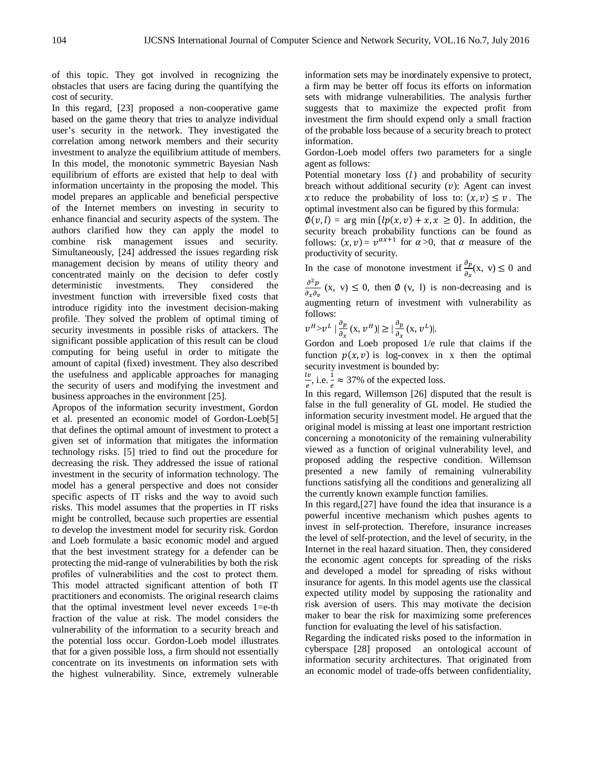of this topic. They got involved in recognizing the obstacles that users are facing during the quantifying the cost of security.

In this regard, [23] proposed a non-cooperative game based on the game theory that tries to analyze individual user's security in the network. They investigated the correlation among network members and their security investment to analyze the equilibrium attitude of members. In this model, the monotonic symmetric Bayesian Nash equilibrium of efforts are existed that help to deal with information uncertainty in the proposing the model. This model prepares an applicable and beneficial perspective of the Internet members on investing in security to enhance financial and security aspects of the system. The authors clarified how they can apply the model to combine risk management issues and security. Simultaneously, [24] addressed the issues regarding risk management decision by means of utility theory and concentrated mainly on the decision to defer costly deterministic investments. They considered the investment function with irreversible fixed costs that introduce rigidity into the investment decision-making profile. They solved the problem of optimal timing of security investments in possible risks of attackers. The significant possible application of this result can be cloud computing for being useful in order to mitigate the amount of capital (fixed) investment. They also described the usefulness and applicable approaches for managing the security of users and modifying the investment and business approaches in the environment [25].

Apropos of the information security investment, Gordon et al. presented an economic model of Gordon-Loeb[5] that defines the optimal amount of investment to protect a given set of information that mitigates the information technology risks. [5] tried to find out the procedure for decreasing the risk. They addressed the issue of rational investment in the security of information technology. The model has a general perspective and does not consider specific aspects of IT risks and the way to avoid such risks. This model assumes that the properties in IT risks might be controlled, because such properties are essential to develop the investment model for security risk. Gordon and Loeb formulate a basic economic model and argued that the best investment strategy for a defender can be protecting the mid-range of vulnerabilities by both the risk profiles of vulnerabilities and the cost to protect them. This model attracted significant attention of both IT practitioners and economists. The original research claims that the optimal investment level never exceeds  $1 = e$ -th fraction of the value at risk. The model considers the vulnerability of the information to a security breach and the potential loss occur. Gordon-Loeb model illustrates that for a given possible loss, a firm should not essentially concentrate on its investments on information sets with the highest vulnerability. Since, extremely vulnerable information sets may be inordinately expensive to protect, a firm may be better off focus its efforts on information sets with midrange vulnerabilities. The analysis further suggests that to maximize the expected profit from investment the firm should expend only a small fraction of the probable loss because of a security breach to protect information.

Gordon-Loeb model offers two parameters for a single agent as follows:

Potential monetary loss  $(l)$  and probability of security breach without additional security  $(v)$ : Agent can invest x to reduce the probability of loss to:  $(x, v) \le v$ . The optimal investment also can be figured by this formula:

 $\varphi(v, l) = \arg \min \{lp(x, v) + x, x \ge 0\}.$  In addition, the security breach probability functions can be found as follows:  $(x, v) = v^{\alpha x+1}$  for  $\alpha > 0$ , that  $\alpha$  measure of the productivity of security.

In the case of monotone investment if  $\frac{\partial p}{\partial x}(x, v) \le 0$  and  $\partial^2 p$  $\frac{\partial \rho}{\partial x \partial y}$  (x, v)  $\leq$  0, then  $\emptyset$  (v, l) is non-decreasing and is augmenting return of investment with vulnerability as follows:

$$
\nu^H > \nu^L \mid \frac{\partial p}{\partial x}(x, \nu^H) \mid \geq \mid \frac{\partial p}{\partial x}(x, \nu^L) \mid.
$$

Gordon and Loeb proposed 1/e rule that claims if the function  $p(x, v)$  is log-convex in x then the optimal security investment is bounded by:

 $\frac{dv}{e}$ , i.e.  $\frac{1}{e} \approx 37\%$  of the expected loss.

In this regard, Willemson [26] disputed that the result is false in the full generality of GL model. He studied the information security investment model. He argued that the original model is missing at least one important restriction concerning a monotonicity of the remaining vulnerability viewed as a function of original vulnerability level, and proposed adding the respective condition. Willemson presented a new family of remaining vulnerability functions satisfying all the conditions and generalizing all the currently known example function families.

In this regard,[27] have found the idea that insurance is a powerful incentive mechanism which pushes agents to invest in self-protection. Therefore, insurance increases the level of self-protection, and the level of security, in the Internet in the real hazard situation. Then, they considered the economic agent concepts for spreading of the risks and developed a model for spreading of risks without insurance for agents. In this model agents use the classical expected utility model by supposing the rationality and risk aversion of users. This may motivate the decision maker to bear the risk for maximizing some preferences function for evaluating the level of his satisfaction.

Regarding the indicated risks posed to the information in cyberspace [28] proposed an ontological account of information security architectures. That originated from an economic model of trade-offs between confidentiality,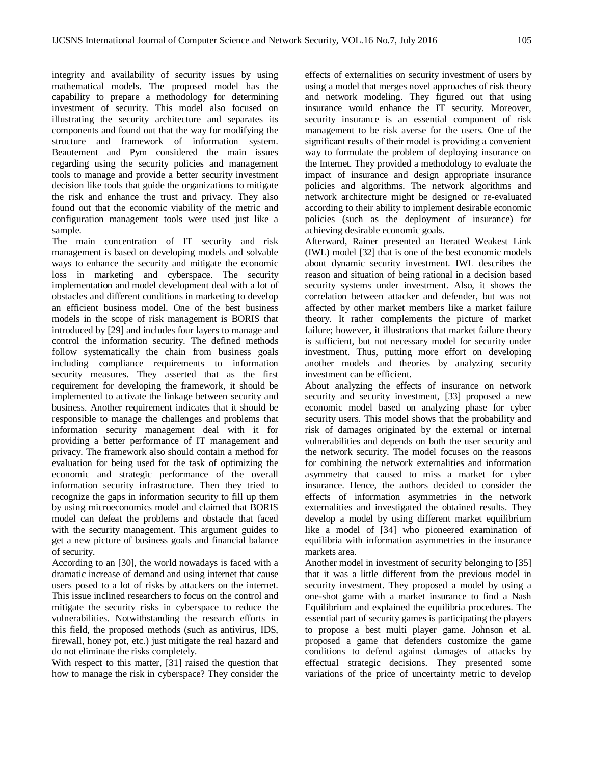integrity and availability of security issues by using mathematical models. The proposed model has the capability to prepare a methodology for determining investment of security. This model also focused on illustrating the security architecture and separates its components and found out that the way for modifying the structure and framework of information system. Beautement and Pym considered the main issues regarding using the security policies and management tools to manage and provide a better security investment decision like tools that guide the organizations to mitigate the risk and enhance the trust and privacy. They also found out that the economic viability of the metric and configuration management tools were used just like a sample.

The main concentration of IT security and risk management is based on developing models and solvable ways to enhance the security and mitigate the economic loss in marketing and cyberspace. The security implementation and model development deal with a lot of obstacles and different conditions in marketing to develop an efficient business model. One of the best business models in the scope of risk management is BORIS that introduced by [29] and includes four layers to manage and control the information security. The defined methods follow systematically the chain from business goals including compliance requirements to information security measures. They asserted that as the first requirement for developing the framework, it should be implemented to activate the linkage between security and business. Another requirement indicates that it should be responsible to manage the challenges and problems that information security management deal with it for providing a better performance of IT management and privacy. The framework also should contain a method for evaluation for being used for the task of optimizing the economic and strategic performance of the overall information security infrastructure. Then they tried to recognize the gaps in information security to fill up them by using microeconomics model and claimed that BORIS model can defeat the problems and obstacle that faced with the security management. This argument guides to get a new picture of business goals and financial balance of security.

According to an [30], the world nowadays is faced with a dramatic increase of demand and using internet that cause users posed to a lot of risks by attackers on the internet. This issue inclined researchers to focus on the control and mitigate the security risks in cyberspace to reduce the vulnerabilities. Notwithstanding the research efforts in this field, the proposed methods (such as antivirus, IDS, firewall, honey pot, etc.) just mitigate the real hazard and do not eliminate the risks completely.

With respect to this matter, [31] raised the question that how to manage the risk in cyberspace? They consider the

effects of externalities on security investment of users by using a model that merges novel approaches of risk theory and network modeling. They figured out that using insurance would enhance the IT security. Moreover, security insurance is an essential component of risk management to be risk averse for the users. One of the significant results of their model is providing a convenient way to formulate the problem of deploying insurance on the Internet. They provided a methodology to evaluate the impact of insurance and design appropriate insurance policies and algorithms. The network algorithms and network architecture might be designed or re-evaluated according to their ability to implement desirable economic policies (such as the deployment of insurance) for achieving desirable economic goals.

Afterward, Rainer presented an Iterated Weakest Link (IWL) model [32] that is one of the best economic models about dynamic security investment. IWL describes the reason and situation of being rational in a decision based security systems under investment. Also, it shows the correlation between attacker and defender, but was not affected by other market members like a market failure theory. It rather complements the picture of market failure; however, it illustrations that market failure theory is sufficient, but not necessary model for security under investment. Thus, putting more effort on developing another models and theories by analyzing security investment can be efficient.

About analyzing the effects of insurance on network security and security investment, [33] proposed a new economic model based on analyzing phase for cyber security users. This model shows that the probability and risk of damages originated by the external or internal vulnerabilities and depends on both the user security and the network security. The model focuses on the reasons for combining the network externalities and information asymmetry that caused to miss a market for cyber insurance. Hence, the authors decided to consider the effects of information asymmetries in the network externalities and investigated the obtained results. They develop a model by using different market equilibrium like a model of [34] who pioneered examination of equilibria with information asymmetries in the insurance markets area.

Another model in investment of security belonging to [35] that it was a little different from the previous model in security investment. They proposed a model by using a one-shot game with a market insurance to find a Nash Equilibrium and explained the equilibria procedures. The essential part of security games is participating the players to propose a best multi player game. Johnson et al. proposed a game that defenders customize the game conditions to defend against damages of attacks by effectual strategic decisions. They presented some variations of the price of uncertainty metric to develop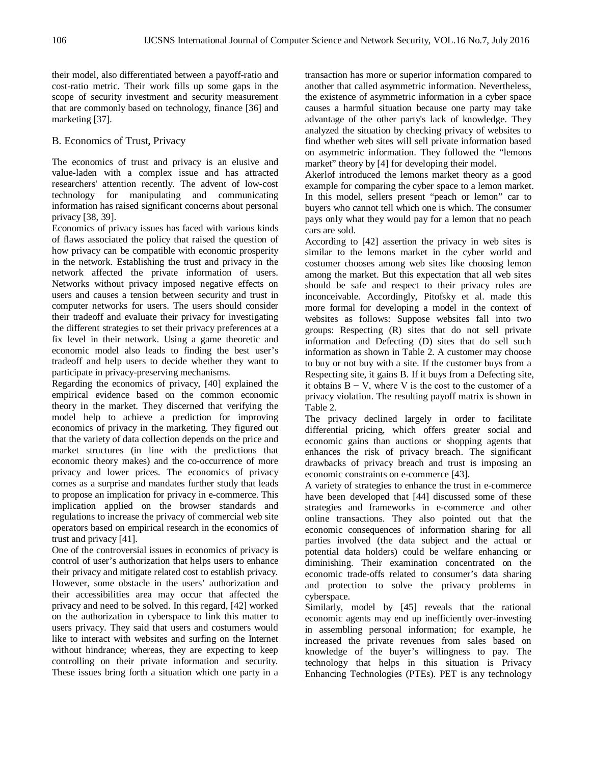their model, also differentiated between a payoff-ratio and cost-ratio metric. Their work fills up some gaps in the scope of security investment and security measurement that are commonly based on technology, finance [36] and marketing [37].

## B. Economics of Trust, Privacy

The economics of trust and privacy is an elusive and value-laden with a complex issue and has attracted researchers' attention recently. The advent of low-cost technology for manipulating and communicating information has raised significant concerns about personal privacy [38, 39].

Economics of privacy issues has faced with various kinds of flaws associated the policy that raised the question of how privacy can be compatible with economic prosperity in the network. Establishing the trust and privacy in the network affected the private information of users. Networks without privacy imposed negative effects on users and causes a tension between security and trust in computer networks for users. The users should consider their tradeoff and evaluate their privacy for investigating the different strategies to set their privacy preferences at a fix level in their network. Using a game theoretic and economic model also leads to finding the best user's tradeoff and help users to decide whether they want to participate in privacy-preserving mechanisms.

Regarding the economics of privacy, [40] explained the empirical evidence based on the common economic theory in the market. They discerned that verifying the model help to achieve a prediction for improving economics of privacy in the marketing. They figured out that the variety of data collection depends on the price and market structures (in line with the predictions that economic theory makes) and the co-occurrence of more privacy and lower prices. The economics of privacy comes as a surprise and mandates further study that leads to propose an implication for privacy in e-commerce. This implication applied on the browser standards and regulations to increase the privacy of commercial web site operators based on empirical research in the economics of trust and privacy [41].

One of the controversial issues in economics of privacy is control of user's authorization that helps users to enhance their privacy and mitigate related cost to establish privacy. However, some obstacle in the users' authorization and their accessibilities area may occur that affected the privacy and need to be solved. In this regard, [42] worked on the authorization in cyberspace to link this matter to users privacy. They said that users and costumers would like to interact with websites and surfing on the Internet without hindrance; whereas, they are expecting to keep controlling on their private information and security. These issues bring forth a situation which one party in a

transaction has more or superior information compared to another that called asymmetric information. Nevertheless, the existence of asymmetric information in a cyber space causes a harmful situation because one party may take advantage of the other party's lack of knowledge. They analyzed the situation by checking privacy of websites to find whether web sites will sell private information based on asymmetric information. They followed the "lemons market" theory by [4] for developing their model.

Akerlof introduced the lemons market theory as a good example for comparing the cyber space to a lemon market. In this model, sellers present "peach or lemon" car to buyers who cannot tell which one is which. The consumer pays only what they would pay for a lemon that no peach cars are sold.

According to [42] assertion the privacy in web sites is similar to the lemons market in the cyber world and costumer chooses among web sites like choosing lemon among the market. But this expectation that all web sites should be safe and respect to their privacy rules are inconceivable. Accordingly, Pitofsky et al. made this more formal for developing a model in the context of websites as follows: Suppose websites fall into two groups: Respecting (R) sites that do not sell private information and Defecting (D) sites that do sell such information as shown in Table 2. A customer may choose to buy or not buy with a site. If the customer buys from a Respecting site, it gains B. If it buys from a Defecting site, it obtains  $B - V$ , where V is the cost to the customer of a privacy violation. The resulting payoff matrix is shown in Table 2.

The privacy declined largely in order to facilitate differential pricing, which offers greater social and economic gains than auctions or shopping agents that enhances the risk of privacy breach. The significant drawbacks of privacy breach and trust is imposing an economic constraints on e-commerce [43].

A variety of strategies to enhance the trust in e-commerce have been developed that [44] discussed some of these strategies and frameworks in e-commerce and other online transactions. They also pointed out that the economic consequences of information sharing for all parties involved (the data subject and the actual or potential data holders) could be welfare enhancing or diminishing. Their examination concentrated on the economic trade-offs related to consumer's data sharing and protection to solve the privacy problems in cyberspace.

Similarly, model by [45] reveals that the rational economic agents may end up inefficiently over-investing in assembling personal information; for example, he increased the private revenues from sales based on knowledge of the buyer's willingness to pay. The technology that helps in this situation is Privacy Enhancing Technologies (PTEs). PET is any technology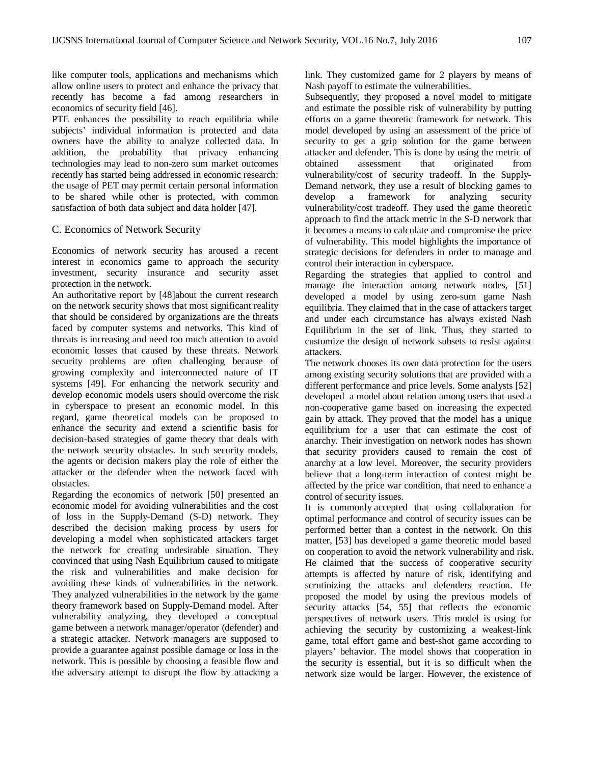like computer tools, applications and mechanisms which allow online users to protect and enhance the privacy that recently has become a fad among researchers in economics of security field [46].

PTE enhances the possibility to reach equilibria while subjects' individual information is protected and data owners have the ability to analyze collected data. In addition, the probability that privacy enhancing technologies may lead to non-zero sum market outcomes recently has started being addressed in economic research: the usage of PET may permit certain personal information to be shared while other is protected, with common satisfaction of both data subject and data holder [47].

## C. Economics of Network Security

Economics of network security has aroused a recent interest in economics game to approach the security investment, security insurance and security asset protection in the network.

An authoritative report by [48]about the current research on the network security shows that most significant reality that should be considered by organizations are the threats faced by computer systems and networks. This kind of threats is increasing and need too much attention to avoid economic losses that caused by these threats. Network security problems are often challenging because of growing complexity and interconnected nature of IT systems [49]. For enhancing the network security and develop economic models users should overcome the risk in cyberspace to present an economic model. In this regard, game theoretical models can be proposed to enhance the security and extend a scientific basis for decision-based strategies of game theory that deals with the network security obstacles. In such security models, the agents or decision makers play the role of either the attacker or the defender when the network faced with obstacles.

Regarding the economics of network [50] presented an economic model for avoiding vulnerabilities and the cost of loss in the Supply-Demand (S-D) network. They described the decision making process by users for developing a model when sophisticated attackers target the network for creating undesirable situation. They convinced that using Nash Equilibrium caused to mitigate the risk and vulnerabilities and make decision for avoiding these kinds of vulnerabilities in the network. They analyzed vulnerabilities in the network by the game theory framework based on Supply-Demand model. After vulnerability analyzing, they developed a conceptual game between a network manager/operator (defender) and a strategic attacker. Network managers are supposed to provide a guarantee against possible damage or loss in the network. This is possible by choosing a feasible flow and the adversary attempt to disrupt the flow by attacking a link. They customized game for 2 players by means of Nash payoff to estimate the vulnerabilities.

Subsequently, they proposed a novel model to mitigate and estimate the possible risk of vulnerability by putting efforts on a game theoretic framework for network. This model developed by using an assessment of the price of security to get a grip solution for the game between attacker and defender. This is done by using the metric of obtained assessment that originated from vulnerability/cost of security tradeoff. In the Supply-Demand network, they use a result of blocking games to develop a framework for analyzing security vulnerability/cost tradeoff. They used the game theoretic approach to find the attack metric in the S-D network that it becomes a means to calculate and compromise the price of vulnerability. This model highlights the importance of strategic decisions for defenders in order to manage and control their interaction in cyberspace.

Regarding the strategies that applied to control and manage the interaction among network nodes, [51] developed a model by using zero-sum game Nash equilibria. They claimed that in the case of attackers target and under each circumstance has always existed Nash Equilibrium in the set of link. Thus, they started to customize the design of network subsets to resist against attackers.

The network chooses its own data protection for the users among existing security solutions that are provided with a different performance and price levels. Some analysts [52] developed a model about relation among users that used a non-cooperative game based on increasing the expected gain by attack. They proved that the model has a unique equilibrium for a user that can estimate the cost of anarchy. Their investigation on network nodes has shown that security providers caused to remain the cost of anarchy at a low level. Moreover, the security providers believe that a long-term interaction of contest might be affected by the price war condition, that need to enhance a control of security issues.

It is commonly accepted that using collaboration for optimal performance and control of security issues can be performed better than a contest in the network. On this matter, [53] has developed a game theoretic model based on cooperation to avoid the network vulnerability and risk. He claimed that the success of cooperative security attempts is affected by nature of risk, identifying and scrutinizing the attacks and defenders reaction. He proposed the model by using the previous models of security attacks [54, 55] that reflects the economic perspectives of network users. This model is using for achieving the security by customizing a weakest-link game, total effort game and best-shot game according to players' behavior. The model shows that cooperation in the security is essential, but it is so difficult when the network size would be larger. However, the existence of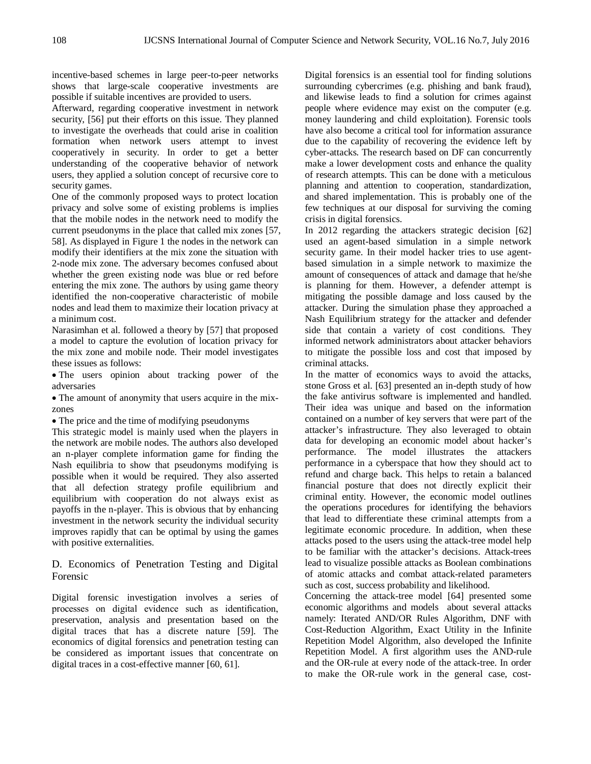incentive-based schemes in large peer-to-peer networks shows that large-scale cooperative investments are possible if suitable incentives are provided to users.

Afterward, regarding cooperative investment in network security, [56] put their efforts on this issue. They planned to investigate the overheads that could arise in coalition formation when network users attempt to invest cooperatively in security. In order to get a better understanding of the cooperative behavior of network users, they applied a solution concept of recursive core to security games.

One of the commonly proposed ways to protect location privacy and solve some of existing problems is implies that the mobile nodes in the network need to modify the current pseudonyms in the place that called mix zones [57, 58]. As displayed in Figure 1 the nodes in the network can modify their identifiers at the mix zone the situation with 2-node mix zone. The adversary becomes confused about whether the green existing node was blue or red before entering the mix zone. The authors by using game theory identified the non-cooperative characteristic of mobile nodes and lead them to maximize their location privacy at a minimum cost.

Narasimhan et al. followed a theory by [57] that proposed a model to capture the evolution of location privacy for the mix zone and mobile node. Their model investigates these issues as follows:

• The users opinion about tracking power of the adversaries

• The amount of anonymity that users acquire in the mixzones

• The price and the time of modifying pseudonyms

This strategic model is mainly used when the players in the network are mobile nodes. The authors also developed an n-player complete information game for finding the Nash equilibria to show that pseudonyms modifying is possible when it would be required. They also asserted that all defection strategy profile equilibrium and equilibrium with cooperation do not always exist as payoffs in the n-player. This is obvious that by enhancing investment in the network security the individual security improves rapidly that can be optimal by using the games with positive externalities.

# D. Economics of Penetration Testing and Digital Forensic

Digital forensic investigation involves a series of processes on digital evidence such as identification, preservation, analysis and presentation based on the digital traces that has a discrete nature [59]. The economics of digital forensics and penetration testing can be considered as important issues that concentrate on digital traces in a cost-effective manner [60, 61].

Digital forensics is an essential tool for finding solutions surrounding cybercrimes (e.g. phishing and bank fraud), and likewise leads to find a solution for crimes against people where evidence may exist on the computer (e.g. money laundering and child exploitation). Forensic tools have also become a critical tool for information assurance due to the capability of recovering the evidence left by cyber-attacks. The research based on DF can concurrently make a lower development costs and enhance the quality of research attempts. This can be done with a meticulous planning and attention to cooperation, standardization, and shared implementation. This is probably one of the few techniques at our disposal for surviving the coming crisis in digital forensics.

In 2012 regarding the attackers strategic decision [62] used an agent-based simulation in a simple network security game. In their model hacker tries to use agentbased simulation in a simple network to maximize the amount of consequences of attack and damage that he/she is planning for them. However, a defender attempt is mitigating the possible damage and loss caused by the attacker. During the simulation phase they approached a Nash Equilibrium strategy for the attacker and defender side that contain a variety of cost conditions. They informed network administrators about attacker behaviors to mitigate the possible loss and cost that imposed by criminal attacks.

In the matter of economics ways to avoid the attacks, stone Gross et al. [63] presented an in-depth study of how the fake antivirus software is implemented and handled. Their idea was unique and based on the information contained on a number of key servers that were part of the attacker's infrastructure. They also leveraged to obtain data for developing an economic model about hacker's performance. The model illustrates the attackers performance in a cyberspace that how they should act to refund and charge back. This helps to retain a balanced financial posture that does not directly explicit their criminal entity. However, the economic model outlines the operations procedures for identifying the behaviors that lead to differentiate these criminal attempts from a legitimate economic procedure. In addition, when these attacks posed to the users using the attack-tree model help to be familiar with the attacker's decisions. Attack-trees lead to visualize possible attacks as Boolean combinations of atomic attacks and combat attack-related parameters such as cost, success probability and likelihood.

Concerning the attack-tree model [64] presented some economic algorithms and models about several attacks namely: Iterated AND/OR Rules Algorithm, DNF with Cost-Reduction Algorithm, Exact Utility in the Infinite Repetition Model Algorithm, also developed the Infinite Repetition Model. A first algorithm uses the AND-rule and the OR-rule at every node of the attack-tree. In order to make the OR-rule work in the general case, cost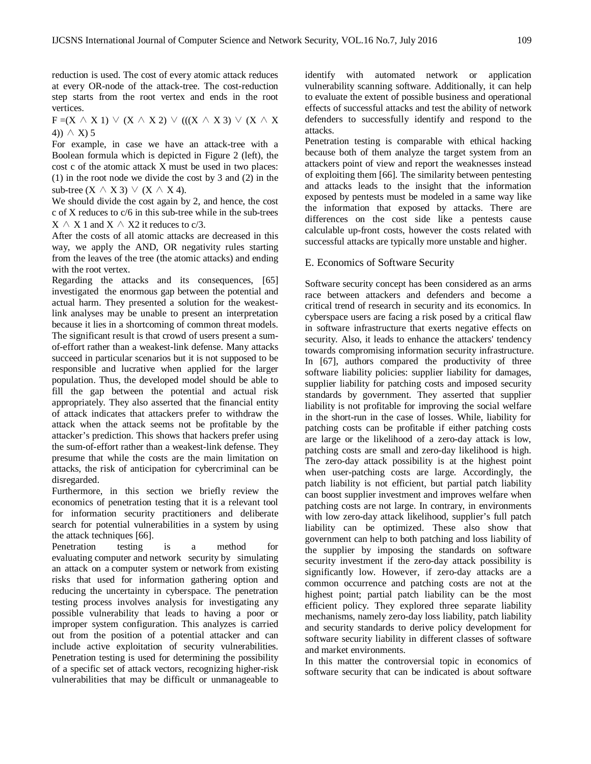reduction is used. The cost of every atomic attack reduces at every OR-node of the attack-tree. The cost-reduction step starts from the root vertex and ends in the root vertices.

 $F = (X \land X 1) \lor (X \land X 2) \lor ((X \land X 3) \lor (X \land X$ 4))  $\wedge$  X) 5

For example, in case we have an attack-tree with a Boolean formula which is depicted in Figure 2 (left), the cost c of the atomic attack X must be used in two places: (1) in the root node we divide the cost by 3 and (2) in the sub-tree  $(X \wedge X3) \vee (X \wedge X4)$ .

We should divide the cost again by 2, and hence, the cost c of X reduces to c/6 in this sub-tree while in the sub-trees  $X \wedge X 1$  and  $X \wedge X2$  it reduces to c/3.

After the costs of all atomic attacks are decreased in this way, we apply the AND, OR negativity rules starting from the leaves of the tree (the atomic attacks) and ending with the root vertex.

Regarding the attacks and its consequences, [65] investigated the enormous gap between the potential and actual harm. They presented a solution for the weakestlink analyses may be unable to present an interpretation because it lies in a shortcoming of common threat models. The significant result is that crowd of users present a sumof-effort rather than a weakest-link defense. Many attacks succeed in particular scenarios but it is not supposed to be responsible and lucrative when applied for the larger population. Thus, the developed model should be able to fill the gap between the potential and actual risk appropriately. They also asserted that the financial entity of attack indicates that attackers prefer to withdraw the attack when the attack seems not be profitable by the attacker's prediction. This shows that hackers prefer using the sum-of-effort rather than a weakest-link defense. They presume that while the costs are the main limitation on attacks, the risk of anticipation for cybercriminal can be disregarded.

Furthermore, in this section we briefly review the economics of penetration testing that it is a relevant tool for information security practitioners and deliberate search for potential vulnerabilities in a system by using the attack techniques [66].

Penetration testing is a method for evaluating [computer](http://en.wikipedia.org/wiki/Computer_security) and [network security](http://en.wikipedia.org/wiki/Network_security) by simulating an attack on a [computer system](http://en.wikipedia.org/wiki/Computer_system) or [network](http://en.wikipedia.org/wiki/Computer_network) from existing risks that used for information gathering option and reducing the uncertainty in cyberspace. The penetration testing process involves analysis for investigating any possible vulnerability that leads to having a poor or improper system configuration. This analyzes is carried out from the position of a potential attacker and can include active exploitation of security vulnerabilities. Penetration testing is used for determining the possibility of a specific set of attack vectors, recognizing higher-risk vulnerabilities that may be difficult or unmanageable to identify with automated network or application vulnerability scanning software. Additionally, it can help to evaluate the extent of possible business and operational effects of successful attacks and test the ability of network defenders to successfully identify and respond to the attacks.

Penetration testing is comparable with ethical hacking because both of them analyze the target system from an attackers point of view and report the weaknesses instead of exploiting them [66]. The similarity between pentesting and attacks leads to the insight that the information exposed by pentests must be modeled in a same way like the information that exposed by attacks. There are differences on the cost side like a pentests cause calculable up-front costs, however the costs related with successful attacks are typically more unstable and higher.

## E. Economics of Software Security

Software security concept has been considered as an arms race between attackers and defenders and become a critical trend of research in security and its economics. In cyberspace users are facing a risk posed by a critical flaw in software infrastructure that exerts negative effects on security. Also, it leads to enhance the attackers' tendency towards compromising information security infrastructure. In [67], authors compared the productivity of three software liability policies: supplier liability for damages, supplier liability for patching costs and imposed security standards by government. They asserted that supplier liability is not profitable for improving the social welfare in the short-run in the case of losses. While, liability for patching costs can be profitable if either patching costs are large or the likelihood of a zero-day attack is low, patching costs are small and zero-day likelihood is high. The zero-day attack possibility is at the highest point when user-patching costs are large. Accordingly, the patch liability is not efficient, but partial patch liability can boost supplier investment and improves welfare when patching costs are not large. In contrary, in environments with low zero-day attack likelihood, supplier's full patch liability can be optimized. These also show that government can help to both patching and loss liability of the supplier by imposing the standards on software security investment if the zero-day attack possibility is significantly low. However, if zero-day attacks are a common occurrence and patching costs are not at the highest point; partial patch liability can be the most efficient policy. They explored three separate liability mechanisms, namely zero-day loss liability, patch liability and security standards to derive policy development for software security liability in different classes of software and market environments.

In this matter the controversial topic in economics of software security that can be indicated is about software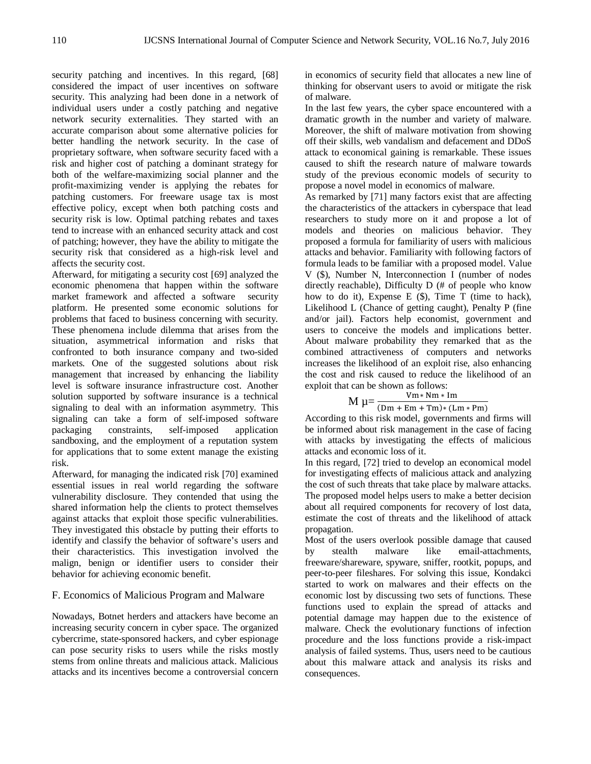security patching and incentives. In this regard, [68] considered the impact of user incentives on software security. This analyzing had been done in a network of individual users under a costly patching and negative network security externalities. They started with an accurate comparison about some alternative policies for better handling the network security. In the case of proprietary software, when software security faced with a risk and higher cost of patching a dominant strategy for both of the welfare-maximizing social planner and the profit-maximizing vender is applying the rebates for patching customers. For freeware usage tax is most effective policy, except when both patching costs and security risk is low. Optimal patching rebates and taxes tend to increase with an enhanced security attack and cost of patching; however, they have the ability to mitigate the security risk that considered as a high-risk level and affects the security cost.

Afterward, for mitigating a security cost [69] analyzed the economic phenomena that happen within the software market framework and affected a software security platform. He presented some economic solutions for problems that faced to business concerning with security. These phenomena include dilemma that arises from the situation, asymmetrical information and risks that confronted to both insurance company and two-sided markets. One of the suggested solutions about risk management that increased by enhancing the liability level is software insurance infrastructure cost. Another solution supported by software insurance is a technical signaling to deal with an information asymmetry. This signaling can take a form of self-imposed software packaging constraints, self-imposed application sandboxing, and the employment of a reputation system for applications that to some extent manage the existing risk.

Afterward, for managing the indicated risk [70] examined essential issues in real world regarding the software vulnerability disclosure. They contended that using the shared information help the clients to protect themselves against attacks that exploit those specific vulnerabilities. They investigated this obstacle by putting their efforts to identify and classify the behavior of software's users and their characteristics. This investigation involved the malign, benign or identifier users to consider their behavior for achieving economic benefit.

## F. Economics of Malicious Program and Malware

Nowadays, Botnet herders and attackers have become an increasing security concern in cyber space. The organized cybercrime, state-sponsored hackers, and cyber espionage can pose security risks to users while the risks mostly stems from online threats and malicious attack. Malicious attacks and its incentives become a controversial concern in economics of security field that allocates a new line of thinking for observant users to avoid or mitigate the risk of malware.

In the last few years, the cyber space encountered with a dramatic growth in the number and variety of malware. Moreover, the shift of malware motivation from showing off their skills, web vandalism and defacement and DDoS attack to economical gaining is remarkable. These issues caused to shift the research nature of malware towards study of the previous economic models of security to propose a novel model in economics of malware.

As remarked by [71] many factors exist that are affecting the characteristics of the attackers in cyberspace that lead researchers to study more on it and propose a lot of models and theories on malicious behavior. They proposed a formula for familiarity of users with malicious attacks and behavior. Familiarity with following factors of formula leads to be familiar with a proposed model. Value V (\$), Number N, Interconnection I (number of nodes directly reachable), Difficulty D (# of people who know how to do it), Expense E (\$), Time T (time to hack), Likelihood L (Chance of getting caught), Penalty P (fine and/or jail). Factors help economist, government and users to conceive the models and implications better. About malware probability they remarked that as the combined attractiveness of computers and networks increases the likelihood of an exploit rise, also enhancing the cost and risk caused to reduce the likelihood of an exploit that can be shown as follows:

$$
M \mu = \frac{Vm * Nm * Im}{(Dm + Em + Tm) * (Lm * Pm)}
$$

According to this risk model, governments and firms will be informed about risk management in the case of facing with attacks by investigating the effects of malicious attacks and economic loss of it.

In this regard, [72] tried to develop an economical model for investigating effects of malicious attack and analyzing the cost of such threats that take place by malware attacks. The proposed model helps users to make a better decision about all required components for recovery of lost data, estimate the cost of threats and the likelihood of attack propagation.

Most of the users overlook possible damage that caused<br>by stealth malware like email-attachments. by stealth malware like email-attachments, freeware/shareware, spyware, sniffer, rootkit, popups, and peer-to-peer fileshares. For solving this issue, Kondakci started to work on malwares and their effects on the economic lost by discussing two sets of functions. These functions used to explain the spread of attacks and potential damage may happen due to the existence of malware. Check the evolutionary functions of infection procedure and the loss functions provide a risk-impact analysis of failed systems. Thus, users need to be cautious about this malware attack and analysis its risks and consequences.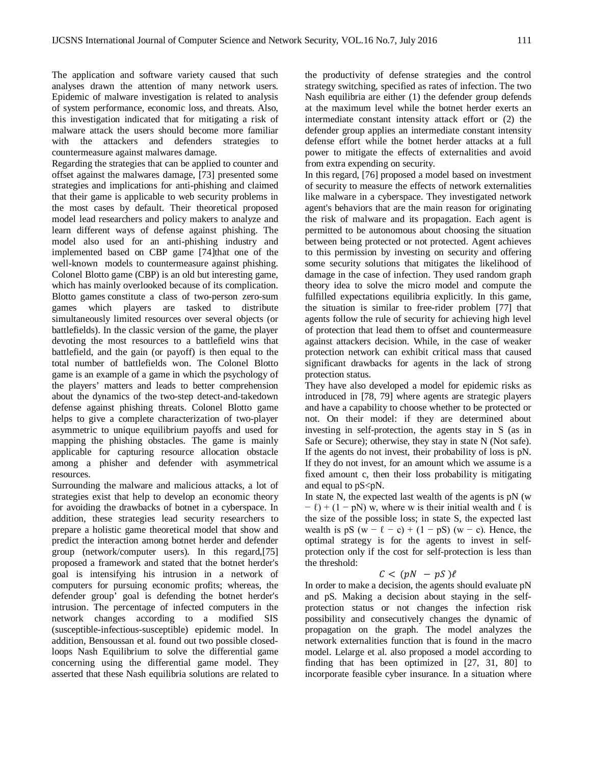The application and software variety caused that such analyses drawn the attention of many network users. Epidemic of malware investigation is related to analysis of system performance, economic loss, and threats. Also, this investigation indicated that for mitigating a risk of malware attack the users should become more familiar with the attackers and defenders strategies to countermeasure against malwares damage.

Regarding the strategies that can be applied to counter and offset against the malwares damage, [73] presented some strategies and implications for anti-phishing and claimed that their game is applicable to web security problems in the most cases by default. Their theoretical proposed model lead researchers and policy makers to analyze and learn different ways of defense against phishing. The model also used for an anti-phishing industry and implemented based on CBP game [74]that one of the well-known models to countermeasure against phishing. Colonel Blotto game (CBP) is an old but interesting game, which has mainly overlooked because of its complication. Blotto games constitute a class of two-person zero-sum games which players are tasked to distribute simultaneously limited resources over several objects (or battlefields). In the classic version of the game, the player devoting the most resources to a battlefield wins that battlefield, and the gain (or payoff) is then equal to the total number of battlefields won. The Colonel Blotto game is an example of a game in which the psychology of the players' matters and leads to better comprehension about the dynamics of the two-step detect-and-takedown defense against phishing threats. Colonel Blotto game helps to give a complete characterization of two-player asymmetric to unique equilibrium payoffs and used for mapping the phishing obstacles. The game is mainly applicable for capturing resource allocation obstacle among a phisher and defender with asymmetrical resources.

Surrounding the malware and malicious attacks, a lot of strategies exist that help to develop an economic theory for avoiding the drawbacks of botnet in a cyberspace. In addition, these strategies lead security researchers to prepare a holistic game theoretical model that show and predict the interaction among botnet herder and defender group (network/computer users). In this regard,[75] proposed a framework and stated that the botnet herder's goal is intensifying his intrusion in a network of computers for pursuing economic profits; whereas, the defender group' goal is defending the botnet herder's intrusion. The percentage of infected computers in the network changes according to a modified SIS (susceptible-infectious-susceptible) epidemic model. In addition, Bensoussan et al. found out two possible closedloops Nash Equilibrium to solve the differential game concerning using the differential game model. They asserted that these Nash equilibria solutions are related to

the productivity of defense strategies and the control strategy switching, specified as rates of infection. The two Nash equilibria are either (1) the defender group defends at the maximum level while the botnet herder exerts an intermediate constant intensity attack effort or (2) the defender group applies an intermediate constant intensity defense effort while the botnet herder attacks at a full power to mitigate the effects of externalities and avoid from extra expending on security.

In this regard, [76] proposed a model based on investment of security to measure the effects of network externalities like malware in a cyberspace. They investigated network agent's behaviors that are the main reason for originating the risk of malware and its propagation. Each agent is permitted to be autonomous about choosing the situation between being protected or not protected. Agent achieves to this permission by investing on security and offering some security solutions that mitigates the likelihood of damage in the case of infection. They used random graph theory idea to solve the micro model and compute the fulfilled expectations equilibria explicitly. In this game, the situation is similar to free-rider problem [77] that agents follow the rule of security for achieving high level of protection that lead them to offset and countermeasure against attackers decision. While, in the case of weaker protection network can exhibit critical mass that caused significant drawbacks for agents in the lack of strong protection status.

They have also developed a model for epidemic risks as introduced in [78, 79] where agents are strategic players and have a capability to choose whether to be protected or not. On their model: if they are determined about investing in self-protection, the agents stay in S (as in Safe or Secure); otherwise, they stay in state N (Not safe). If the agents do not invest, their probability of loss is pN. If they do not invest, for an amount which we assume is a fixed amount c, then their loss probability is mitigating and equal to  $pS\leq pN$ .

In state N, the expected last wealth of the agents is  $pN(w)$  $- \ell$ ) + (1 – pN) w, where w is their initial wealth and  $\ell$  is the size of the possible loss; in state S, the expected last wealth is pS  $(w - \ell - c) + (1 - pS)$   $(w - c)$ . Hence, the optimal strategy is for the agents to invest in selfprotection only if the cost for self-protection is less than the threshold:

$$
C < (pN - pS)\ell
$$

In order to make a decision, the agents should evaluate pN and pS. Making a decision about staying in the selfprotection status or not changes the infection risk possibility and consecutively changes the dynamic of propagation on the graph. The model analyzes the network externalities function that is found in the macro model. Lelarge et al. also proposed a model according to finding that has been optimized in [27, 31, 80] to incorporate feasible cyber insurance. In a situation where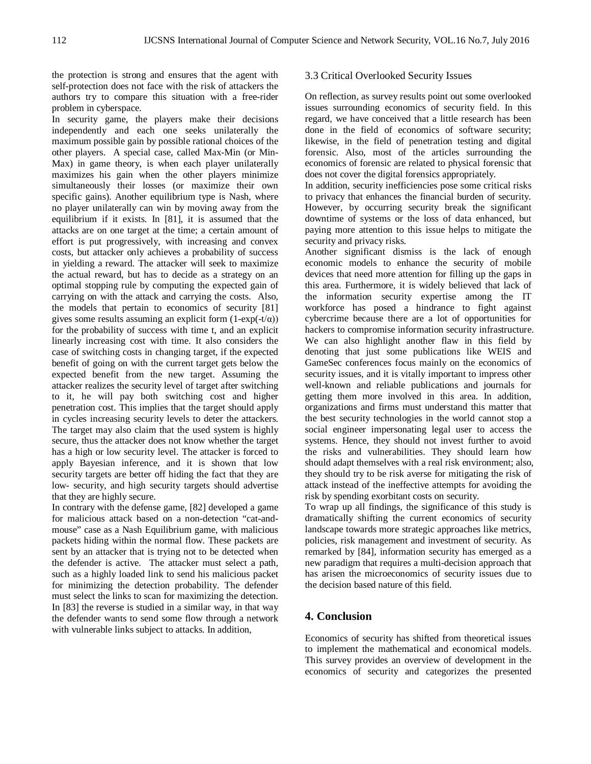the protection is strong and ensures that the agent with self-protection does not face with the risk of attackers the authors try to compare this situation with a free-rider problem in cyberspace.

In security game, the players make their decisions independently and each one seeks unilaterally the maximum possible gain by possible rational choices of the other players. A special case, called Max-Min (or Min-Max) in game theory, is when each player unilaterally maximizes his gain when the other players minimize simultaneously their losses (or maximize their own specific gains). Another equilibrium type is Nash, where no player unilaterally can win by moving away from the equilibrium if it exists. In [81], it is assumed that the attacks are on one target at the time; a certain amount of effort is put progressively, with increasing and convex costs, but attacker only achieves a probability of success in yielding a reward. The attacker will seek to maximize the actual reward, but has to decide as a strategy on an optimal stopping rule by computing the expected gain of carrying on with the attack and carrying the costs. Also, the models that pertain to economics of security [81] gives some results assuming an explicit form  $(1-\exp(-t/\alpha))$ for the probability of success with time t, and an explicit linearly increasing cost with time. It also considers the case of switching costs in changing target, if the expected benefit of going on with the current target gets below the expected benefit from the new target. Assuming the attacker realizes the security level of target after switching to it, he will pay both switching cost and higher penetration cost. This implies that the target should apply in cycles increasing security levels to deter the attackers. The target may also claim that the used system is highly secure, thus the attacker does not know whether the target has a high or low security level. The attacker is forced to apply Bayesian inference, and it is shown that low security targets are better off hiding the fact that they are low- security, and high security targets should advertise that they are highly secure.

In contrary with the defense game, [82] developed a game for malicious attack based on a non-detection "cat-andmouse" case as a Nash Equilibrium game, with malicious packets hiding within the normal flow. These packets are sent by an attacker that is trying not to be detected when the defender is active. The attacker must select a path, such as a highly loaded link to send his malicious packet for minimizing the detection probability. The defender must select the links to scan for maximizing the detection. In [83] the reverse is studied in a similar way, in that way the defender wants to send some flow through a network with vulnerable links subject to attacks. In addition,

#### 3.3 Critical Overlooked Security Issues

On reflection, as survey results point out some overlooked issues surrounding economics of security field. In this regard, we have conceived that a little research has been done in the field of economics of software security; likewise, in the field of penetration testing and digital forensic. Also, most of the articles surrounding the economics of forensic are related to physical forensic that does not cover the digital forensics appropriately.

In addition, security inefficiencies pose some critical risks to privacy that enhances the financial burden of security. However, by occurring security break the significant downtime of systems or the loss of data enhanced, but paying more attention to this issue helps to mitigate the security and privacy risks.

Another significant dismiss is the lack of enough economic models to enhance the security of mobile devices that need more attention for filling up the gaps in this area. Furthermore, it is widely believed that lack of the information security expertise among the IT workforce has posed a hindrance to fight against cybercrime because there are a lot of opportunities for hackers to compromise information security infrastructure. We can also highlight another flaw in this field by denoting that just some publications like WEIS and GameSec conferences focus mainly on the economics of security issues, and it is vitally important to impress other well-known and reliable publications and journals for getting them more involved in this area. In addition, organizations and firms must understand this matter that the best security technologies in the world cannot stop a social engineer impersonating legal user to access the systems. Hence, they should not invest further to avoid the risks and vulnerabilities. They should learn how should adapt themselves with a real risk environment; also, they should try to be risk averse for mitigating the risk of attack instead of the ineffective attempts for avoiding the risk by spending exorbitant costs on security.

To wrap up all findings, the significance of this study is dramatically shifting the current economics of security landscape towards more strategic approaches like metrics, policies, risk management and investment of security. As remarked by [84], information security has emerged as a new paradigm that requires a multi-decision approach that has arisen the microeconomics of security issues due to the decision based nature of this field.

# **4. Conclusion**

Economics of security has shifted from theoretical issues to implement the mathematical and economical models. This survey provides an overview of development in the economics of security and categorizes the presented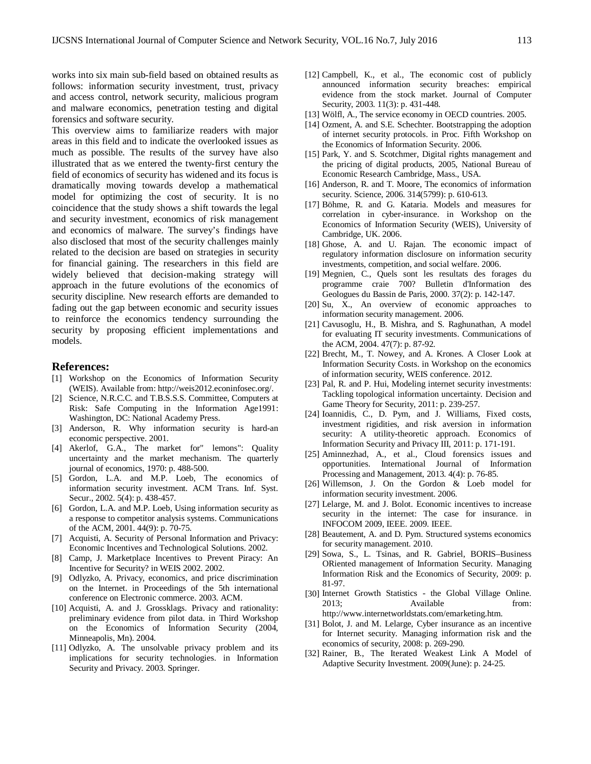works into six main sub-field based on obtained results as follows: information security investment, trust, privacy and access control, network security, malicious program and malware economics, penetration testing and digital forensics and software security.

This overview aims to familiarize readers with major areas in this field and to indicate the overlooked issues as much as possible. The results of the survey have also illustrated that as we entered the twenty-first century the field of economics of security has widened and its focus is dramatically moving towards develop a mathematical model for optimizing the cost of security. It is no coincidence that the study shows a shift towards the legal and security investment, economics of risk management and economics of malware. The survey's findings have also disclosed that most of the security challenges mainly related to the decision are based on strategies in security for financial gaining. The researchers in this field are widely believed that decision-making strategy will approach in the future evolutions of the economics of security discipline. New research efforts are demanded to fading out the gap between economic and security issues to reinforce the economics tendency surrounding the security by proposing efficient implementations and models.

## **References:**

- [1] Workshop on the Economics of Information Security (WEIS). Available from: http://weis2012.econinfosec.org/.
- [2] Science, N.R.C.C. and T.B.S.S.S. Committee, Computers at Risk: Safe Computing in the Information Age1991: Washington, DC: National Academy Press.
- [3] Anderson, R. Why information security is hard-an economic perspective. 2001.
- [4] Akerlof, G.A., The market for" lemons": Quality uncertainty and the market mechanism. The quarterly journal of economics, 1970: p. 488-500.
- [5] Gordon, L.A. and M.P. Loeb, The economics of information security investment. ACM Trans. Inf. Syst. Secur., 2002. 5(4): p. 438-457.
- [6] Gordon, L.A. and M.P. Loeb, Using information security as a response to competitor analysis systems. Communications of the ACM, 2001. 44(9): p. 70-75.
- [7] Acquisti, A. Security of Personal Information and Privacy: Economic Incentives and Technological Solutions. 2002.
- [8] Camp, J. Marketplace Incentives to Prevent Piracy: An Incentive for Security? in WEIS 2002. 2002.
- [9] Odlyzko, A. Privacy, economics, and price discrimination on the Internet. in Proceedings of the 5th international conference on Electronic commerce. 2003. ACM.
- [10] Acquisti, A. and J. Grossklags. Privacy and rationality: preliminary evidence from pilot data. in Third Workshop on the Economics of Information Security (2004, Minneapolis, Mn). 2004.
- [11] Odlyzko, A. The unsolvable privacy problem and its implications for security technologies. in Information Security and Privacy. 2003. Springer.
- [12] Campbell, K., et al., The economic cost of publicly announced information security breaches: empirical evidence from the stock market. Journal of Computer Security, 2003. 11(3): p. 431-448.
- [13] Wölfl, A., The service economy in OECD countries. 2005.
- [14] Ozment, A. and S.E. Schechter. Bootstrapping the adoption of internet security protocols. in Proc. Fifth Workshop on the Economics of Information Security. 2006.
- [15] Park, Y. and S. Scotchmer, Digital rights management and the pricing of digital products, 2005, National Bureau of Economic Research Cambridge, Mass., USA.
- [16] Anderson, R. and T. Moore, The economics of information security. Science, 2006. 314(5799): p. 610-613.
- [17] Böhme, R. and G. Kataria. Models and measures for correlation in cyber-insurance. in Workshop on the Economics of Information Security (WEIS), University of Cambridge, UK. 2006.
- [18] Ghose, A. and U. Rajan. The economic impact of regulatory information disclosure on information security investments, competition, and social welfare. 2006.
- [19] Megnien, C., Quels sont les resultats des forages du programme craie 700? Bulletin d'Information des Geologues du Bassin de Paris, 2000. 37(2): p. 142-147.
- [20] Su, X., An overview of economic approaches to information security management. 2006.
- [21] Cavusoglu, H., B. Mishra, and S. Raghunathan, A model for evaluating IT security investments. Communications of the ACM, 2004. 47(7): p. 87-92.
- [22] Brecht, M., T. Nowey, and A. Krones. A Closer Look at Information Security Costs. in Workshop on the economics of information security, WEIS conference. 2012.
- [23] Pal, R. and P. Hui, Modeling internet security investments: Tackling topological information uncertainty. Decision and Game Theory for Security, 2011: p. 239-257.
- [24] Ioannidis, C., D. Pym, and J. Williams, Fixed costs, investment rigidities, and risk aversion in information security: A utility-theoretic approach. Economics of Information Security and Privacy III, 2011: p. 171-191.
- [25] Aminnezhad, A., et al., Cloud forensics issues and opportunities. International Journal of Information Processing and Management, 2013. 4(4): p. 76-85.
- [26] Willemson, J. On the Gordon & Loeb model for information security investment. 2006.
- [27] Lelarge, M. and J. Bolot. Economic incentives to increase security in the internet: The case for insurance. in INFOCOM 2009, IEEE. 2009. IEEE.
- [28] Beautement, A. and D. Pym. Structured systems economics for security management. 2010.
- [29] Sowa, S., L. Tsinas, and R. Gabriel, BORIS–Business ORiented management of Information Security. Managing Information Risk and the Economics of Security, 2009: p. 81-97.
- [30] Internet Growth Statistics the Global Village Online. 2013; Available from: http://www.internetworldstats.com/emarketing.htm.
- [31] Bolot, J. and M. Lelarge, Cyber insurance as an incentive for Internet security. Managing information risk and the economics of security, 2008: p. 269-290.
- [32] Rainer, B., The Iterated Weakest Link A Model of Adaptive Security Investment. 2009(June): p. 24-25.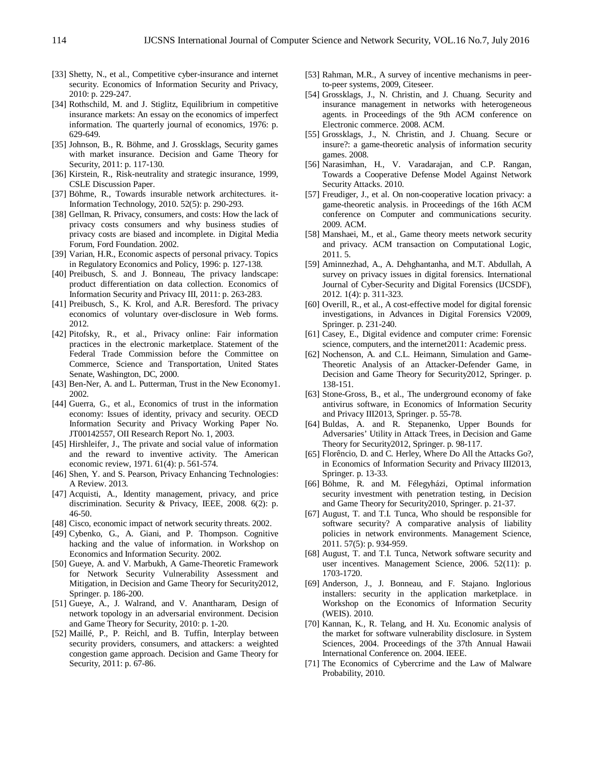- [33] Shetty, N., et al., Competitive cyber-insurance and internet security. Economics of Information Security and Privacy, 2010: p. 229-247.
- [34] Rothschild, M. and J. Stiglitz, Equilibrium in competitive insurance markets: An essay on the economics of imperfect information. The quarterly journal of economics, 1976: p. 629-649.
- [35] Johnson, B., R. Böhme, and J. Grossklags, Security games with market insurance. Decision and Game Theory for Security, 2011: p. 117-130.
- [36] Kirstein, R., Risk-neutrality and strategic insurance, 1999, CSLE Discussion Paper.
- [37] Böhme, R., Towards insurable network architectures. it-Information Technology, 2010. 52(5): p. 290-293.
- [38] Gellman, R. Privacy, consumers, and costs: How the lack of privacy costs consumers and why business studies of privacy costs are biased and incomplete. in Digital Media Forum, Ford Foundation. 2002.
- [39] Varian, H.R., Economic aspects of personal privacy. Topics in Regulatory Economics and Policy, 1996: p. 127-138.
- [40] Preibusch, S. and J. Bonneau, The privacy landscape: product differentiation on data collection. Economics of Information Security and Privacy III, 2011: p. 263-283.
- [41] Preibusch, S., K. Krol, and A.R. Beresford. The privacy economics of voluntary over-disclosure in Web forms. 2012.
- [42] Pitofsky, R., et al., Privacy online: Fair information practices in the electronic marketplace. Statement of the Federal Trade Commission before the Committee on Commerce, Science and Transportation, United States Senate, Washington, DC, 2000.
- [43] Ben-Ner, A. and L. Putterman, Trust in the New Economy1. 2002.
- [44] Guerra, G., et al., Economics of trust in the information economy: Issues of identity, privacy and security. OECD Information Security and Privacy Working Paper No. JT00142557, OII Research Report No. 1, 2003.
- [45] Hirshleifer, J., The private and social value of information and the reward to inventive activity. The American economic review, 1971. 61(4): p. 561-574.
- [46] Shen, Y. and S. Pearson, Privacy Enhancing Technologies: A Review. 2013.
- [47] Acquisti, A., Identity management, privacy, and price discrimination. Security & Privacy, IEEE, 2008. 6(2): p. 46-50.
- [48] Cisco, economic impact of network security threats. 2002.
- [49] Cybenko, G., A. Giani, and P. Thompson. Cognitive hacking and the value of information. in Workshop on Economics and Information Security. 2002.
- [50] Gueye, A. and V. Marbukh, A Game-Theoretic Framework for Network Security Vulnerability Assessment and Mitigation, in Decision and Game Theory for Security2012, Springer. p. 186-200.
- [51] Gueye, A., J. Walrand, and V. Anantharam, Design of network topology in an adversarial environment. Decision and Game Theory for Security, 2010: p. 1-20.
- [52] Maillé, P., P. Reichl, and B. Tuffin, Interplay between security providers, consumers, and attackers: a weighted congestion game approach. Decision and Game Theory for Security, 2011: p. 67-86.
- [53] Rahman, M.R., A survey of incentive mechanisms in peerto-peer systems, 2009, Citeseer.
- [54] Grossklags, J., N. Christin, and J. Chuang. Security and insurance management in networks with heterogeneous agents. in Proceedings of the 9th ACM conference on Electronic commerce. 2008. ACM.
- [55] Grossklags, J., N. Christin, and J. Chuang. Secure or insure?: a game-theoretic analysis of information security games. 2008.
- [56] Narasimhan, H., V. Varadarajan, and C.P. Rangan, Towards a Cooperative Defense Model Against Network Security Attacks. 2010.
- [57] Freudiger, J., et al. On non-cooperative location privacy: a game-theoretic analysis. in Proceedings of the 16th ACM conference on Computer and communications security. 2009. ACM.
- [58] Manshaei, M., et al., Game theory meets network security and privacy. ACM transaction on Computational Logic, 2011. 5.
- [59] Aminnezhad, A., A. Dehghantanha, and M.T. Abdullah, A survey on privacy issues in digital forensics. International Journal of Cyber-Security and Digital Forensics (IJCSDF), 2012. 1(4): p. 311-323.
- [60] Overill, R., et al., A cost-effective model for digital forensic investigations, in Advances in Digital Forensics V2009, Springer. p. 231-240.
- [61] Casey, E., Digital evidence and computer crime: Forensic science, computers, and the internet2011: Academic press.
- [62] Nochenson, A. and C.L. Heimann, Simulation and Game-Theoretic Analysis of an Attacker-Defender Game, in Decision and Game Theory for Security2012, Springer. p. 138-151.
- [63] Stone-Gross, B., et al., The underground economy of fake antivirus software, in Economics of Information Security and Privacy III2013, Springer. p. 55-78.
- [64] Buldas, A. and R. Stepanenko, Upper Bounds for Adversaries' Utility in Attack Trees, in Decision and Game Theory for Security2012, Springer. p. 98-117.
- [65] Florêncio, D. and C. Herley, Where Do All the Attacks Go?, in Economics of Information Security and Privacy III2013, Springer. p. 13-33.
- [66] Böhme, R. and M. Félegyházi, Optimal information security investment with penetration testing, in Decision and Game Theory for Security2010, Springer. p. 21-37.
- [67] August, T. and T.I. Tunca, Who should be responsible for software security? A comparative analysis of liability policies in network environments. Management Science, 2011. 57(5): p. 934-959.
- [68] August, T. and T.I. Tunca, Network software security and user incentives. Management Science, 2006. 52(11): p. 1703-1720.
- [69] Anderson, J., J. Bonneau, and F. Stajano. Inglorious installers: security in the application marketplace. in Workshop on the Economics of Information Security (WEIS). 2010.
- [70] Kannan, K., R. Telang, and H. Xu. Economic analysis of the market for software vulnerability disclosure. in System Sciences, 2004. Proceedings of the 37th Annual Hawaii International Conference on. 2004. IEEE.
- [71] The Economics of Cybercrime and the Law of Malware Probability, 2010.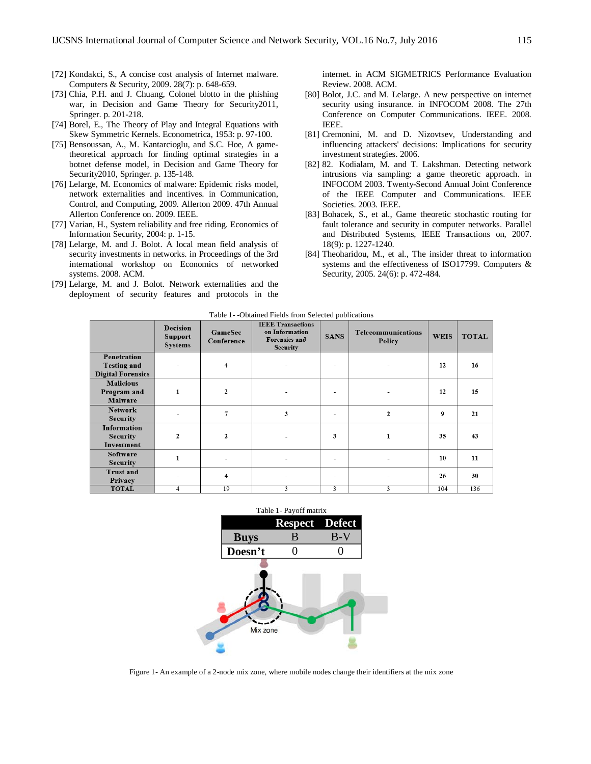- [72] Kondakci, S., A concise cost analysis of Internet malware. Computers & Security, 2009. 28(7): p. 648-659.
- [73] Chia, P.H. and J. Chuang, Colonel blotto in the phishing war, in Decision and Game Theory for Security2011, Springer. p. 201-218.
- [74] Borel, E., The Theory of Play and Integral Equations with Skew Symmetric Kernels. Econometrica, 1953: p. 97-100.
- [75] Bensoussan, A., M. Kantarcioglu, and S.C. Hoe, A gametheoretical approach for finding optimal strategies in a botnet defense model, in Decision and Game Theory for Security2010, Springer. p. 135-148.
- [76] Lelarge, M. Economics of malware: Epidemic risks model, network externalities and incentives. in Communication, Control, and Computing, 2009. Allerton 2009. 47th Annual Allerton Conference on. 2009. IEEE.
- [77] Varian, H., System reliability and free riding. Economics of Information Security, 2004: p. 1-15.
- [78] Lelarge, M. and J. Bolot. A local mean field analysis of security investments in networks. in Proceedings of the 3rd international workshop on Economics of networked systems. 2008. ACM.
- [79] Lelarge, M. and J. Bolot. Network externalities and the deployment of security features and protocols in the

internet. in ACM SIGMETRICS Performance Evaluation Review. 2008. ACM.

- [80] Bolot, J.C. and M. Lelarge. A new perspective on internet security using insurance. in INFOCOM 2008. The 27th Conference on Computer Communications. IEEE. 2008. IEEE.
- [81] Cremonini, M. and D. Nizovtsev, Understanding and influencing attackers' decisions: Implications for security investment strategies. 2006.
- [82] 82. Kodialam, M. and T. Lakshman. Detecting network intrusions via sampling: a game theoretic approach. in INFOCOM 2003. Twenty-Second Annual Joint Conference of the IEEE Computer and Communications. IEEE Societies. 2003. IEEE.
- [83] Bohacek, S., et al., Game theoretic stochastic routing for fault tolerance and security in computer networks. Parallel and Distributed Systems, IEEE Transactions on, 2007. 18(9): p. 1227-1240.
- [84] Theoharidou, M., et al., The insider threat to information systems and the effectiveness of ISO17799. Computers & Security, 2005. 24(6): p. 472-484.

| Table 1 - - Obtained Fields from Selected publications |  |  |
|--------------------------------------------------------|--|--|
|--------------------------------------------------------|--|--|

|                                                               | <b>Decision</b><br><b>Support</b><br><b>Systems</b> | GameSec<br>Conference   | <b>IEEE Transactions</b><br>on Information<br><b>Forensics</b> and<br><b>Security</b> | <b>SANS</b>              | Telecommunications<br>Policy | <b>WEIS</b> | <b>TOTAL</b> |
|---------------------------------------------------------------|-----------------------------------------------------|-------------------------|---------------------------------------------------------------------------------------|--------------------------|------------------------------|-------------|--------------|
| Penetration<br><b>Testing and</b><br><b>Digital Forensics</b> |                                                     | 4                       |                                                                                       | $\overline{\phantom{a}}$ | ۰                            | 12          | 16           |
| <b>Malicious</b><br>Program and<br>Malware                    | $\mathbf{1}$                                        | $\mathbf{2}$            |                                                                                       | $\overline{\phantom{a}}$ |                              | 12          | 15           |
| <b>Network</b><br><b>Security</b>                             |                                                     | $\tau$                  | 3                                                                                     |                          | $\overline{2}$               | 9           | 21           |
| <b>Information</b><br><b>Security</b><br>Investment           | $\overline{2}$                                      | $\overline{2}$          |                                                                                       | 3                        | 1                            | 35          | 43           |
| Software<br><b>Security</b>                                   | 1                                                   | ٠                       | ٠                                                                                     | $\overline{\phantom{a}}$ | ۰                            | 10          | 11           |
| <b>Trust and</b><br>Privacy                                   |                                                     | $\overline{\mathbf{4}}$ |                                                                                       | $\overline{\phantom{a}}$ |                              | 26          | 30           |
| <b>TOTAL</b>                                                  | $\overline{4}$                                      | 19                      | 3                                                                                     | 3                        | 3                            | 104         | 136          |



Figure 1- An example of a 2-node mix zone, where mobile nodes change their identifiers at the mix zone